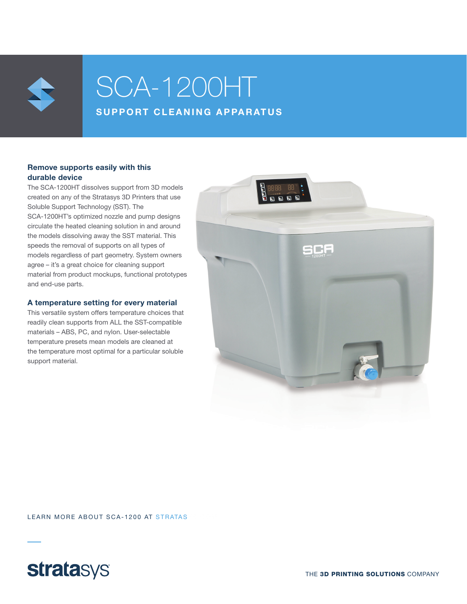

# SCA-1200HT SUPPORT CLEANING APPARATUS

### Remove supports easily with this durable device

The SCA-1200HT dissolves support from 3D models created on any of the Stratasys 3D Printers that use Soluble Support Technology (SST). The SCA-1200HT's optimized nozzle and pump designs circulate the heated cleaning solution in and around the models dissolving away the SST material. This speeds the removal of supports on all types of models regardless of part geometry. System owners agree – it's a great choice for cleaning support material from product mockups, functional prototypes and end-use parts.

#### A temperature setting for every material

This versatile system offers temperature choices that readily clean supports from ALL the SST-compatible materials – ABS, PC, and nylon. User-selectable temperature presets mean models are cleaned at the temperature most optimal for a particular soluble support material.



LEARN MORE ABOUT SCA-1200 AT STRATAS